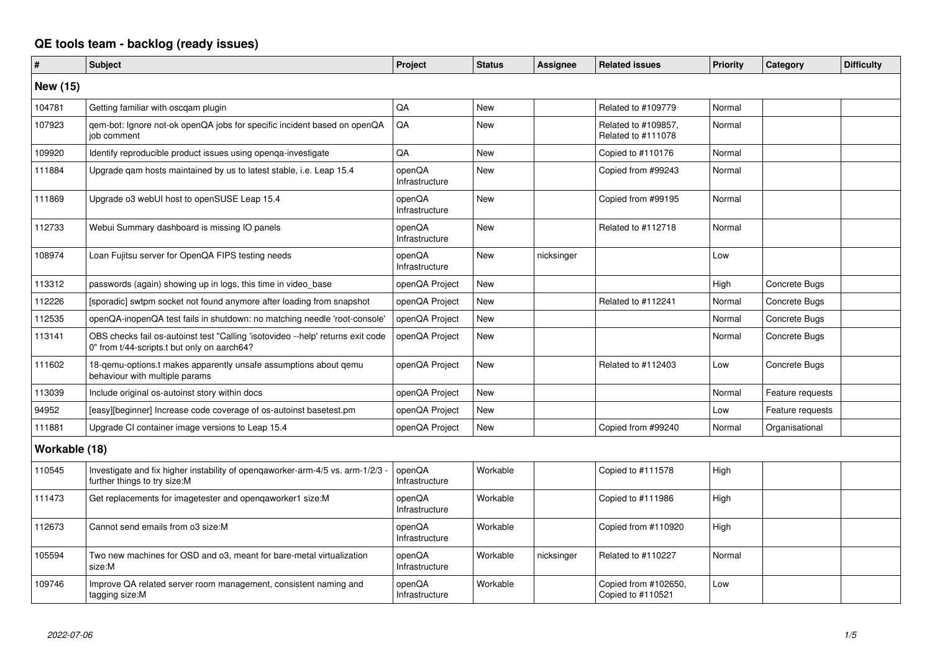## **QE tools team - backlog (ready issues)**

| #             | <b>Subject</b>                                                                                                                 | Project                  | <b>Status</b> | <b>Assignee</b> | <b>Related issues</b>                     | <b>Priority</b> | Category         | <b>Difficulty</b> |
|---------------|--------------------------------------------------------------------------------------------------------------------------------|--------------------------|---------------|-----------------|-------------------------------------------|-----------------|------------------|-------------------|
| New (15)      |                                                                                                                                |                          |               |                 |                                           |                 |                  |                   |
| 104781        | Getting familiar with oscgam plugin                                                                                            | QA                       | New           |                 | Related to #109779                        | Normal          |                  |                   |
| 107923        | qem-bot: Ignore not-ok openQA jobs for specific incident based on openQA<br>job comment                                        | QA                       | <b>New</b>    |                 | Related to #109857,<br>Related to #111078 | Normal          |                  |                   |
| 109920        | Identify reproducible product issues using openga-investigate                                                                  | QA                       | New           |                 | Copied to #110176                         | Normal          |                  |                   |
| 111884        | Upgrade gam hosts maintained by us to latest stable, i.e. Leap 15.4                                                            | openQA<br>Infrastructure | <b>New</b>    |                 | Copied from #99243                        | Normal          |                  |                   |
| 111869        | Upgrade o3 webUI host to openSUSE Leap 15.4                                                                                    | openQA<br>Infrastructure | <b>New</b>    |                 | Copied from #99195                        | Normal          |                  |                   |
| 112733        | Webui Summary dashboard is missing IO panels                                                                                   | openQA<br>Infrastructure | <b>New</b>    |                 | Related to #112718                        | Normal          |                  |                   |
| 108974        | Loan Fujitsu server for OpenQA FIPS testing needs                                                                              | openQA<br>Infrastructure | New           | nicksinger      |                                           | Low             |                  |                   |
| 113312        | passwords (again) showing up in logs, this time in video_base                                                                  | openQA Project           | New           |                 |                                           | High            | Concrete Bugs    |                   |
| 112226        | [sporadic] swtpm socket not found anymore after loading from snapshot                                                          | openQA Project           | <b>New</b>    |                 | Related to #112241                        | Normal          | Concrete Bugs    |                   |
| 112535        | openQA-inopenQA test fails in shutdown: no matching needle 'root-console'                                                      | openQA Project           | New           |                 |                                           | Normal          | Concrete Bugs    |                   |
| 113141        | OBS checks fail os-autoinst test "Calling 'isotovideo --help' returns exit code<br>0" from t/44-scripts.t but only on aarch64? | openQA Project           | <b>New</b>    |                 |                                           | Normal          | Concrete Bugs    |                   |
| 111602        | 18-gemu-options.t makes apparently unsafe assumptions about gemu<br>behaviour with multiple params                             | openQA Project           | New           |                 | Related to #112403                        | Low             | Concrete Bugs    |                   |
| 113039        | Include original os-autoinst story within docs                                                                                 | openQA Project           | New           |                 |                                           | Normal          | Feature requests |                   |
| 94952         | [easy][beginner] Increase code coverage of os-autoinst basetest.pm                                                             | openQA Project           | New           |                 |                                           | Low             | Feature requests |                   |
| 111881        | Upgrade CI container image versions to Leap 15.4                                                                               | openQA Project           | <b>New</b>    |                 | Copied from #99240                        | Normal          | Organisational   |                   |
| Workable (18) |                                                                                                                                |                          |               |                 |                                           |                 |                  |                   |
| 110545        | Investigate and fix higher instability of opengaworker-arm-4/5 vs. arm-1/2/3<br>further things to try size:M                   | openQA<br>Infrastructure | Workable      |                 | Copied to #111578                         | High            |                  |                   |
| 111473        | Get replacements for imagetester and opengaworker1 size:M                                                                      | openQA<br>Infrastructure | Workable      |                 | Copied to #111986                         | High            |                  |                   |
| 112673        | Cannot send emails from o3 size:M                                                                                              | openQA<br>Infrastructure | Workable      |                 | Copied from #110920                       | High            |                  |                   |
| 105594        | Two new machines for OSD and 03, meant for bare-metal virtualization<br>size:M                                                 | openQA<br>Infrastructure | Workable      | nicksinger      | Related to #110227                        | Normal          |                  |                   |
| 109746        | Improve QA related server room management, consistent naming and<br>tagging size:M                                             | openQA<br>Infrastructure | Workable      |                 | Copied from #102650,<br>Copied to #110521 | Low             |                  |                   |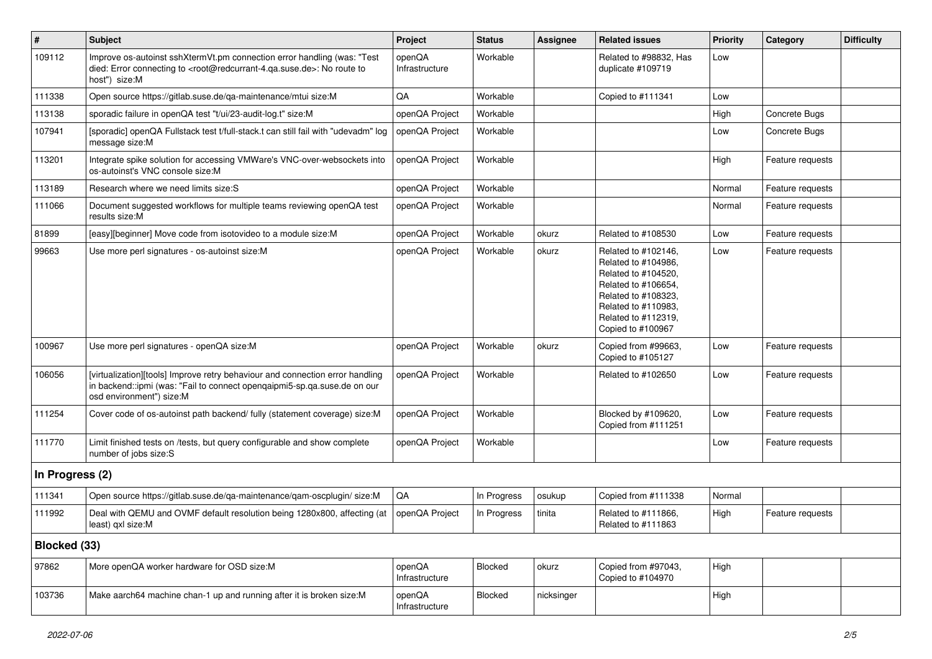| $\vert$ #       | Subject                                                                                                                                                                                           | Project                  | <b>Status</b> | <b>Assignee</b> | <b>Related issues</b>                                                                                                                                                              | <b>Priority</b> | Category         | <b>Difficulty</b> |
|-----------------|---------------------------------------------------------------------------------------------------------------------------------------------------------------------------------------------------|--------------------------|---------------|-----------------|------------------------------------------------------------------------------------------------------------------------------------------------------------------------------------|-----------------|------------------|-------------------|
| 109112          | Improve os-autoinst sshXtermVt.pm connection error handling (was: "Test<br>died: Error connecting to <root@redcurrant-4.ga.suse.de>: No route to<br/>host") size:M</root@redcurrant-4.ga.suse.de> | openQA<br>Infrastructure | Workable      |                 | Related to #98832, Has<br>duplicate #109719                                                                                                                                        | Low             |                  |                   |
| 111338          | Open source https://gitlab.suse.de/qa-maintenance/mtui size:M                                                                                                                                     | QA                       | Workable      |                 | Copied to #111341                                                                                                                                                                  | Low             |                  |                   |
| 113138          | sporadic failure in openQA test "t/ui/23-audit-log.t" size:M                                                                                                                                      | openQA Project           | Workable      |                 |                                                                                                                                                                                    | High            | Concrete Bugs    |                   |
| 107941          | [sporadic] openQA Fullstack test t/full-stack.t can still fail with "udevadm" log<br>message size:M                                                                                               | openQA Project           | Workable      |                 |                                                                                                                                                                                    | Low             | Concrete Bugs    |                   |
| 113201          | Integrate spike solution for accessing VMWare's VNC-over-websockets into<br>os-autoinst's VNC console size:M                                                                                      | openQA Project           | Workable      |                 |                                                                                                                                                                                    | High            | Feature requests |                   |
| 113189          | Research where we need limits size:S                                                                                                                                                              | openQA Project           | Workable      |                 |                                                                                                                                                                                    | Normal          | Feature requests |                   |
| 111066          | Document suggested workflows for multiple teams reviewing openQA test<br>results size:M                                                                                                           | openQA Project           | Workable      |                 |                                                                                                                                                                                    | Normal          | Feature requests |                   |
| 81899           | [easy][beginner] Move code from isotovideo to a module size:M                                                                                                                                     | openQA Project           | Workable      | okurz           | Related to #108530                                                                                                                                                                 | Low             | Feature requests |                   |
| 99663           | Use more perl signatures - os-autoinst size:M                                                                                                                                                     | openQA Project           | Workable      | okurz           | Related to #102146,<br>Related to #104986,<br>Related to #104520,<br>Related to #106654,<br>Related to #108323,<br>Related to #110983,<br>Related to #112319,<br>Copied to #100967 | Low             | Feature requests |                   |
| 100967          | Use more perl signatures - openQA size:M                                                                                                                                                          | openQA Project           | Workable      | okurz           | Copied from #99663,<br>Copied to #105127                                                                                                                                           | Low             | Feature requests |                   |
| 106056          | [virtualization][tools] Improve retry behaviour and connection error handling<br>in backend::ipmi (was: "Fail to connect openqaipmi5-sp.qa.suse.de on our<br>osd environment") size:M             | openQA Project           | Workable      |                 | Related to #102650                                                                                                                                                                 | Low             | Feature requests |                   |
| 111254          | Cover code of os-autoinst path backend/ fully (statement coverage) size:M                                                                                                                         | openQA Project           | Workable      |                 | Blocked by #109620,<br>Copied from #111251                                                                                                                                         | Low             | Feature requests |                   |
| 111770          | Limit finished tests on /tests, but query configurable and show complete<br>number of jobs size:S                                                                                                 | openQA Project           | Workable      |                 |                                                                                                                                                                                    | Low             | Feature requests |                   |
| In Progress (2) |                                                                                                                                                                                                   |                          |               |                 |                                                                                                                                                                                    |                 |                  |                   |
| 111341          | Open source https://gitlab.suse.de/qa-maintenance/qam-oscplugin/ size:M                                                                                                                           | QA                       | In Progress   | osukup          | Copied from #111338                                                                                                                                                                | Normal          |                  |                   |
| 111992          | Deal with QEMU and OVMF default resolution being 1280x800, affecting (at<br>least) qxl size:M                                                                                                     | openQA Project           | In Progress   | tinita          | Related to #111866,<br>Related to #111863                                                                                                                                          | High            | Feature requests |                   |
| Blocked (33)    |                                                                                                                                                                                                   |                          |               |                 |                                                                                                                                                                                    |                 |                  |                   |
| 97862           | More openQA worker hardware for OSD size:M                                                                                                                                                        | openQA<br>Infrastructure | Blocked       | okurz           | Copied from #97043,<br>Copied to #104970                                                                                                                                           | High            |                  |                   |
| 103736          | Make aarch64 machine chan-1 up and running after it is broken size:M                                                                                                                              | openQA<br>Infrastructure | Blocked       | nicksinger      |                                                                                                                                                                                    | High            |                  |                   |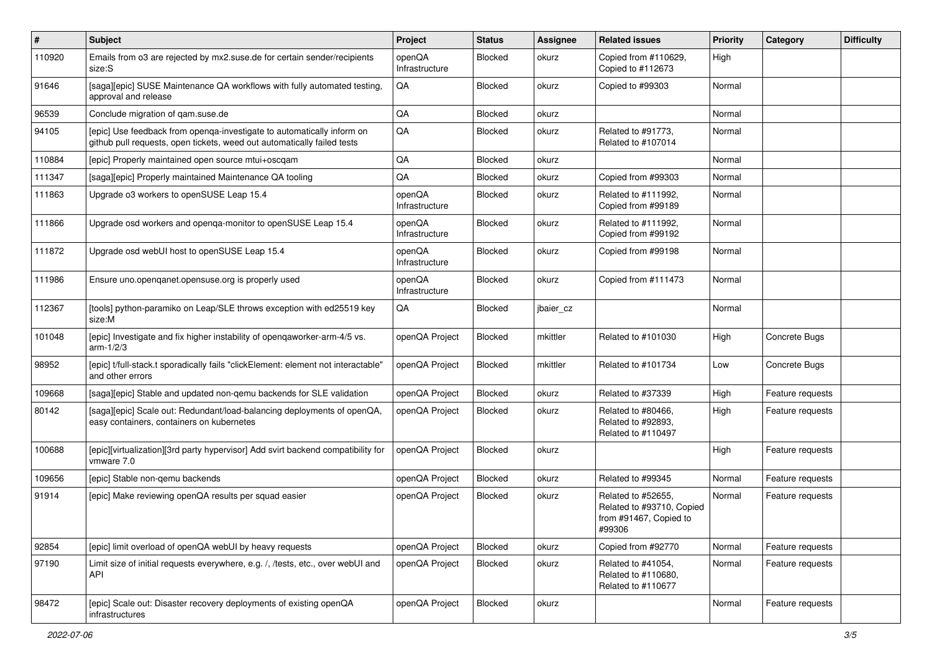| $\vert$ # | Subject                                                                                                                                           | Project                  | <b>Status</b>  | <b>Assignee</b> | <b>Related issues</b>                                                               | <b>Priority</b> | Category         | <b>Difficulty</b> |
|-----------|---------------------------------------------------------------------------------------------------------------------------------------------------|--------------------------|----------------|-----------------|-------------------------------------------------------------------------------------|-----------------|------------------|-------------------|
| 110920    | Emails from o3 are rejected by mx2.suse.de for certain sender/recipients<br>size:S                                                                | openQA<br>Infrastructure | Blocked        | okurz           | Copied from #110629,<br>Copied to #112673                                           | High            |                  |                   |
| 91646     | [saga][epic] SUSE Maintenance QA workflows with fully automated testing,<br>approval and release                                                  | QA                       | Blocked        | okurz           | Copied to #99303                                                                    | Normal          |                  |                   |
| 96539     | Conclude migration of qam.suse.de                                                                                                                 | QA                       | Blocked        | okurz           |                                                                                     | Normal          |                  |                   |
| 94105     | [epic] Use feedback from openga-investigate to automatically inform on<br>github pull requests, open tickets, weed out automatically failed tests | QA                       | Blocked        | okurz           | Related to #91773,<br>Related to #107014                                            | Normal          |                  |                   |
| 110884    | [epic] Properly maintained open source mtui+oscqam                                                                                                | QA                       | Blocked        | okurz           |                                                                                     | Normal          |                  |                   |
| 111347    | [saga][epic] Properly maintained Maintenance QA tooling                                                                                           | QA                       | <b>Blocked</b> | okurz           | Copied from #99303                                                                  | Normal          |                  |                   |
| 111863    | Upgrade o3 workers to openSUSE Leap 15.4                                                                                                          | openQA<br>Infrastructure | Blocked        | okurz           | Related to #111992,<br>Copied from #99189                                           | Normal          |                  |                   |
| 111866    | Upgrade osd workers and openqa-monitor to openSUSE Leap 15.4                                                                                      | openQA<br>Infrastructure | Blocked        | okurz           | Related to #111992,<br>Copied from #99192                                           | Normal          |                  |                   |
| 111872    | Upgrade osd webUI host to openSUSE Leap 15.4                                                                                                      | openQA<br>Infrastructure | Blocked        | okurz           | Copied from #99198                                                                  | Normal          |                  |                   |
| 111986    | Ensure uno.openqanet.opensuse.org is properly used                                                                                                | openQA<br>Infrastructure | Blocked        | okurz           | Copied from #111473                                                                 | Normal          |                  |                   |
| 112367    | [tools] python-paramiko on Leap/SLE throws exception with ed25519 key<br>size:M                                                                   | $\mathsf{QA}$            | Blocked        | jbaier_cz       |                                                                                     | Normal          |                  |                   |
| 101048    | [epic] Investigate and fix higher instability of opengaworker-arm-4/5 vs.<br>arm- $1/2/3$                                                         | openQA Project           | Blocked        | mkittler        | Related to #101030                                                                  | High            | Concrete Bugs    |                   |
| 98952     | [epic] t/full-stack.t sporadically fails "clickElement: element not interactable"<br>and other errors                                             | openQA Project           | Blocked        | mkittler        | Related to #101734                                                                  | Low             | Concrete Bugs    |                   |
| 109668    | [saga][epic] Stable and updated non-gemu backends for SLE validation                                                                              | openQA Project           | Blocked        | okurz           | Related to #37339                                                                   | High            | Feature requests |                   |
| 80142     | [saga][epic] Scale out: Redundant/load-balancing deployments of openQA,<br>easy containers, containers on kubernetes                              | openQA Project           | Blocked        | okurz           | Related to #80466,<br>Related to #92893,<br>Related to #110497                      | High            | Feature requests |                   |
| 100688    | [epic][virtualization][3rd party hypervisor] Add svirt backend compatibility for<br>vmware 7.0                                                    | openQA Project           | Blocked        | okurz           |                                                                                     | High            | Feature requests |                   |
| 109656    | [epic] Stable non-gemu backends                                                                                                                   | openQA Project           | Blocked        | okurz           | Related to #99345                                                                   | Normal          | Feature requests |                   |
| 91914     | [epic] Make reviewing openQA results per squad easier                                                                                             | openQA Project           | Blocked        | okurz           | Related to #52655,<br>Related to #93710, Copied<br>from #91467, Copied to<br>#99306 | Normal          | Feature requests |                   |
| 92854     | [epic] limit overload of openQA webUI by heavy requests                                                                                           | openQA Project           | Blocked        | okurz           | Copied from #92770                                                                  | Normal          | Feature requests |                   |
| 97190     | Limit size of initial requests everywhere, e.g. /, /tests, etc., over webUI and<br><b>API</b>                                                     | openQA Project           | Blocked        | okurz           | Related to #41054,<br>Related to #110680,<br>Related to #110677                     | Normal          | Feature requests |                   |
| 98472     | [epic] Scale out: Disaster recovery deployments of existing openQA<br>infrastructures                                                             | openQA Project           | Blocked        | okurz           |                                                                                     | Normal          | Feature requests |                   |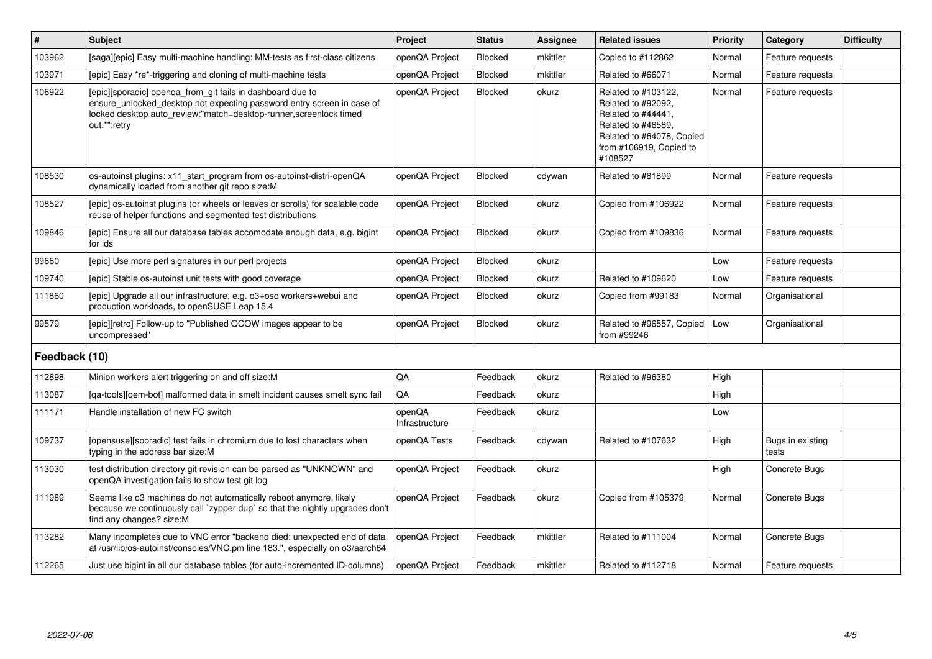| $\vert$ #     | <b>Subject</b>                                                                                                                                                                                                            | Project                  | <b>Status</b>  | <b>Assignee</b> | <b>Related issues</b>                                                                                                                                    | <b>Priority</b> | Category                  | <b>Difficulty</b> |
|---------------|---------------------------------------------------------------------------------------------------------------------------------------------------------------------------------------------------------------------------|--------------------------|----------------|-----------------|----------------------------------------------------------------------------------------------------------------------------------------------------------|-----------------|---------------------------|-------------------|
| 103962        | [saga][epic] Easy multi-machine handling: MM-tests as first-class citizens                                                                                                                                                | openQA Project           | Blocked        | mkittler        | Copied to #112862                                                                                                                                        | Normal          | Feature requests          |                   |
| 103971        | [epic] Easy *re*-triggering and cloning of multi-machine tests                                                                                                                                                            | openQA Project           | <b>Blocked</b> | mkittler        | Related to #66071                                                                                                                                        | Normal          | Feature requests          |                   |
| 106922        | [epic][sporadic] openqa_from_git fails in dashboard due to<br>ensure_unlocked_desktop not expecting password entry screen in case of<br>locked desktop auto_review:"match=desktop-runner,screenlock timed<br>out.*":retry | openQA Project           | Blocked        | okurz           | Related to #103122,<br>Related to #92092,<br>Related to #44441,<br>Related to #46589.<br>Related to #64078, Copied<br>from #106919, Copied to<br>#108527 | Normal          | Feature requests          |                   |
| 108530        | os-autoinst plugins: x11 start program from os-autoinst-distri-openQA<br>dynamically loaded from another git repo size:M                                                                                                  | openQA Project           | Blocked        | cdywan          | Related to #81899                                                                                                                                        | Normal          | Feature requests          |                   |
| 108527        | [epic] os-autoinst plugins (or wheels or leaves or scrolls) for scalable code<br>reuse of helper functions and segmented test distributions                                                                               | openQA Project           | <b>Blocked</b> | okurz           | Copied from #106922                                                                                                                                      | Normal          | Feature requests          |                   |
| 109846        | [epic] Ensure all our database tables accomodate enough data, e.g. bigint<br>for ids                                                                                                                                      | openQA Project           | <b>Blocked</b> | okurz           | Copied from #109836                                                                                                                                      | Normal          | Feature requests          |                   |
| 99660         | [epic] Use more perl signatures in our perl projects                                                                                                                                                                      | openQA Project           | Blocked        | okurz           |                                                                                                                                                          | Low             | Feature requests          |                   |
| 109740        | [epic] Stable os-autoinst unit tests with good coverage                                                                                                                                                                   | openQA Project           | Blocked        | okurz           | Related to #109620                                                                                                                                       | Low             | Feature requests          |                   |
| 111860        | [epic] Upgrade all our infrastructure, e.g. o3+osd workers+webui and<br>production workloads, to openSUSE Leap 15.4                                                                                                       | openQA Project           | Blocked        | okurz           | Copied from #99183                                                                                                                                       | Normal          | Organisational            |                   |
| 99579         | [epic][retro] Follow-up to "Published QCOW images appear to be<br>uncompressed"                                                                                                                                           | openQA Project           | <b>Blocked</b> | okurz           | Related to #96557, Copied<br>from #99246                                                                                                                 | Low             | Organisational            |                   |
| Feedback (10) |                                                                                                                                                                                                                           |                          |                |                 |                                                                                                                                                          |                 |                           |                   |
| 112898        | Minion workers alert triggering on and off size:M                                                                                                                                                                         | $\mathsf{QA}$            | Feedback       | okurz           | Related to #96380                                                                                                                                        | High            |                           |                   |
| 113087        | [qa-tools][qem-bot] malformed data in smelt incident causes smelt sync fail                                                                                                                                               | QA                       | Feedback       | okurz           |                                                                                                                                                          | High            |                           |                   |
| 111171        | Handle installation of new FC switch                                                                                                                                                                                      | openQA<br>Infrastructure | Feedback       | okurz           |                                                                                                                                                          | Low             |                           |                   |
| 109737        | [opensuse][sporadic] test fails in chromium due to lost characters when<br>typing in the address bar size:M                                                                                                               | openQA Tests             | Feedback       | cdywan          | Related to #107632                                                                                                                                       | High            | Bugs in existing<br>tests |                   |
| 113030        | test distribution directory git revision can be parsed as "UNKNOWN" and<br>openQA investigation fails to show test git log                                                                                                | openQA Project           | Feedback       | okurz           |                                                                                                                                                          | High            | Concrete Bugs             |                   |
| 111989        | Seems like o3 machines do not automatically reboot anymore, likely<br>because we continuously call `zypper dup` so that the nightly upgrades don't<br>find any changes? size:M                                            | openQA Project           | Feedback       | okurz           | Copied from #105379                                                                                                                                      | Normal          | Concrete Bugs             |                   |
| 113282        | Many incompletes due to VNC error "backend died: unexpected end of data<br>at /usr/lib/os-autoinst/consoles/VNC.pm line 183.", especially on o3/aarch64                                                                   | openQA Project           | Feedback       | mkittler        | Related to #111004                                                                                                                                       | Normal          | Concrete Bugs             |                   |
| 112265        | Just use bigint in all our database tables (for auto-incremented ID-columns)                                                                                                                                              | openQA Project           | Feedback       | mkittler        | Related to #112718                                                                                                                                       | Normal          | Feature requests          |                   |